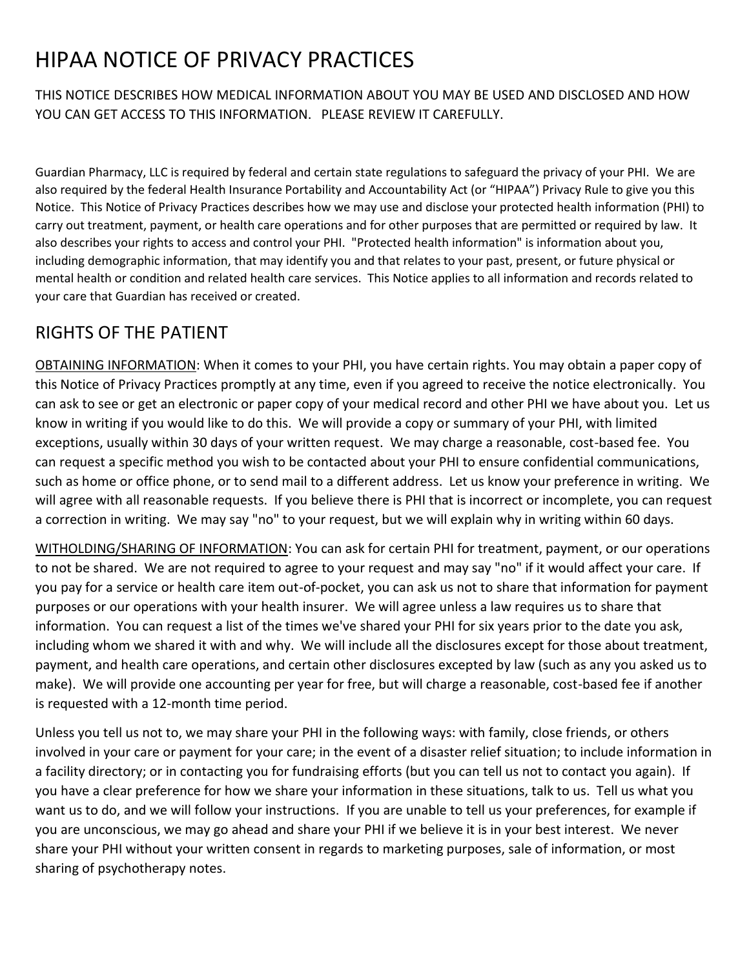## HIPAA NOTICE OF PRIVACY PRACTICES

THIS NOTICE DESCRIBES HOW MEDICAL INFORMATION ABOUT YOU MAY BE USED AND DISCLOSED AND HOW YOU CAN GET ACCESS TO THIS INFORMATION. PLEASE REVIEW IT CAREFULLY.

Guardian Pharmacy, LLC is required by federal and certain state regulations to safeguard the privacy of your PHI. We are also required by the federal Health Insurance Portability and Accountability Act (or "HIPAA") Privacy Rule to give you this Notice. This Notice of Privacy Practices describes how we may use and disclose your protected health information (PHI) to carry out treatment, payment, or health care operations and for other purposes that are permitted or required by law. It also describes your rights to access and control your PHI. "Protected health information" is information about you, including demographic information, that may identify you and that relates to your past, present, or future physical or mental health or condition and related health care services. This Notice applies to all information and records related to your care that Guardian has received or created.

## RIGHTS OF THE PATIENT

OBTAINING INFORMATION: When it comes to your PHI, you have certain rights. You may obtain a paper copy of this Notice of Privacy Practices promptly at any time, even if you agreed to receive the notice electronically. You can ask to see or get an electronic or paper copy of your medical record and other PHI we have about you. Let us know in writing if you would like to do this. We will provide a copy or summary of your PHI, with limited exceptions, usually within 30 days of your written request. We may charge a reasonable, cost-based fee. You can request a specific method you wish to be contacted about your PHI to ensure confidential communications, such as home or office phone, or to send mail to a different address. Let us know your preference in writing. We will agree with all reasonable requests. If you believe there is PHI that is incorrect or incomplete, you can request a correction in writing. We may say "no" to your request, but we will explain why in writing within 60 days.

WITHOLDING/SHARING OF INFORMATION: You can ask for certain PHI for treatment, payment, or our operations to not be shared. We are not required to agree to your request and may say "no" if it would affect your care. If you pay for a service or health care item out-of-pocket, you can ask us not to share that information for payment purposes or our operations with your health insurer. We will agree unless a law requires us to share that information. You can request a list of the times we've shared your PHI for six years prior to the date you ask, including whom we shared it with and why. We will include all the disclosures except for those about treatment, payment, and health care operations, and certain other disclosures excepted by law (such as any you asked us to make). We will provide one accounting per year for free, but will charge a reasonable, cost-based fee if another is requested with a 12-month time period.

Unless you tell us not to, we may share your PHI in the following ways: with family, close friends, or others involved in your care or payment for your care; in the event of a disaster relief situation; to include information in a facility directory; or in contacting you for fundraising efforts (but you can tell us not to contact you again). If you have a clear preference for how we share your information in these situations, talk to us. Tell us what you want us to do, and we will follow your instructions. If you are unable to tell us your preferences, for example if you are unconscious, we may go ahead and share your PHI if we believe it is in your best interest. We never share your PHI without your written consent in regards to marketing purposes, sale of information, or most sharing of psychotherapy notes.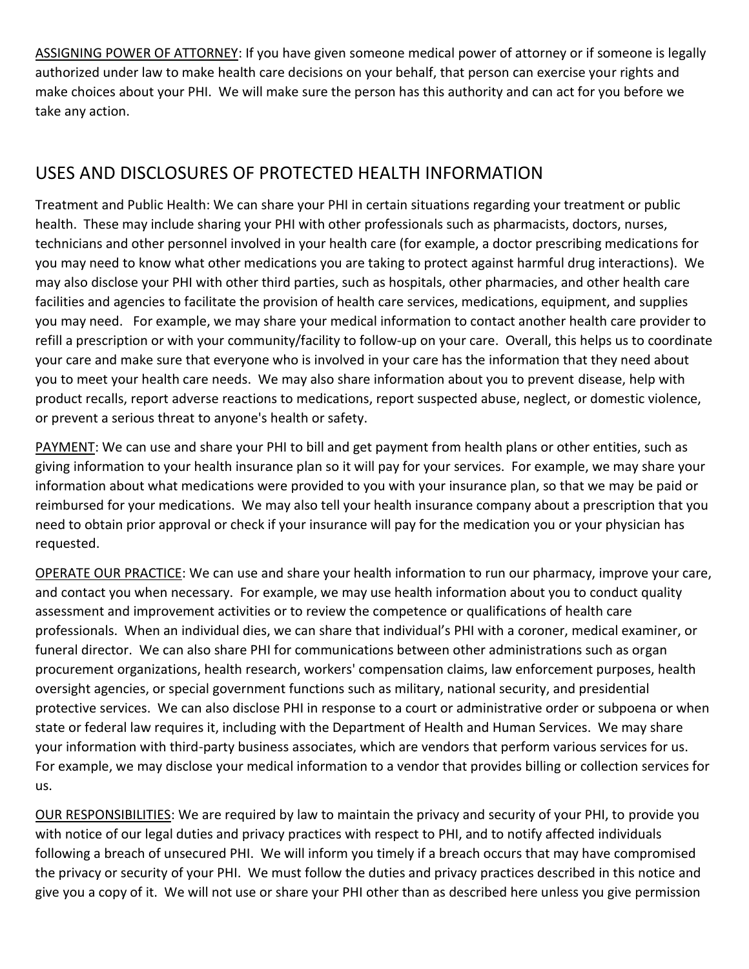ASSIGNING POWER OF ATTORNEY: If you have given someone medical power of attorney or if someone is legally authorized under law to make health care decisions on your behalf, that person can exercise your rights and make choices about your PHI. We will make sure the person has this authority and can act for you before we take any action.

## USES AND DISCLOSURES OF PROTECTED HEALTH INFORMATION

Treatment and Public Health: We can share your PHI in certain situations regarding your treatment or public health. These may include sharing your PHI with other professionals such as pharmacists, doctors, nurses, technicians and other personnel involved in your health care (for example, a doctor prescribing medications for you may need to know what other medications you are taking to protect against harmful drug interactions). We may also disclose your PHI with other third parties, such as hospitals, other pharmacies, and other health care facilities and agencies to facilitate the provision of health care services, medications, equipment, and supplies you may need. For example, we may share your medical information to contact another health care provider to refill a prescription or with your community/facility to follow-up on your care. Overall, this helps us to coordinate your care and make sure that everyone who is involved in your care has the information that they need about you to meet your health care needs. We may also share information about you to prevent disease, help with product recalls, report adverse reactions to medications, report suspected abuse, neglect, or domestic violence, or prevent a serious threat to anyone's health or safety.

PAYMENT: We can use and share your PHI to bill and get payment from health plans or other entities, such as giving information to your health insurance plan so it will pay for your services. For example, we may share your information about what medications were provided to you with your insurance plan, so that we may be paid or reimbursed for your medications. We may also tell your health insurance company about a prescription that you need to obtain prior approval or check if your insurance will pay for the medication you or your physician has requested.

OPERATE OUR PRACTICE: We can use and share your health information to run our pharmacy, improve your care, and contact you when necessary. For example, we may use health information about you to conduct quality assessment and improvement activities or to review the competence or qualifications of health care professionals. When an individual dies, we can share that individual's PHI with a coroner, medical examiner, or funeral director. We can also share PHI for communications between other administrations such as organ procurement organizations, health research, workers' compensation claims, law enforcement purposes, health oversight agencies, or special government functions such as military, national security, and presidential protective services. We can also disclose PHI in response to a court or administrative order or subpoena or when state or federal law requires it, including with the Department of Health and Human Services. We may share your information with third-party business associates, which are vendors that perform various services for us. For example, we may disclose your medical information to a vendor that provides billing or collection services for us.

OUR RESPONSIBILITIES: We are required by law to maintain the privacy and security of your PHI, to provide you with notice of our legal duties and privacy practices with respect to PHI, and to notify affected individuals following a breach of unsecured PHI. We will inform you timely if a breach occurs that may have compromised the privacy or security of your PHI. We must follow the duties and privacy practices described in this notice and give you a copy of it. We will not use or share your PHI other than as described here unless you give permission